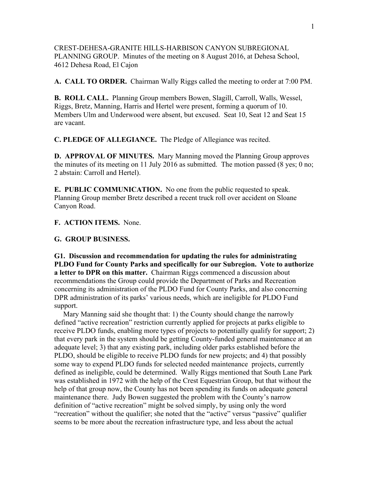CREST-DEHESA-GRANITE HILLS-HARBISON CANYON SUBREGIONAL PLANNING GROUP. Minutes of the meeting on 8 August 2016, at Dehesa School, 4612 Dehesa Road, El Cajon

**A. CALL TO ORDER.** Chairman Wally Riggs called the meeting to order at 7:00 PM.

**B. ROLL CALL.** Planning Group members Bowen, Slagill, Carroll, Walls, Wessel, Riggs, Bretz, Manning, Harris and Hertel were present, forming a quorum of 10. Members Ulm and Underwood were absent, but excused. Seat 10, Seat 12 and Seat 15 are vacant.

**C. PLEDGE OF ALLEGIANCE.** The Pledge of Allegiance was recited.

**D. APPROVAL OF MINUTES.** Mary Manning moved the Planning Group approves the minutes of its meeting on 11 July 2016 as submitted. The motion passed (8 yes; 0 no; 2 abstain: Carroll and Hertel).

**E. PUBLIC COMMUNICATION.** No one from the public requested to speak. Planning Group member Bretz described a recent truck roll over accident on Sloane Canyon Road.

## **F. ACTION ITEMS.** None.

## **G. GROUP BUSINESS.**

**G1. Discussion and recommendation for updating the rules for administrating PLDO Fund for County Parks and specifically for our Subregion. Vote to authorize a letter to DPR on this matter.** Chairman Riggs commenced a discussion about recommendations the Group could provide the Department of Parks and Recreation concerning its administration of the PLDO Fund for County Parks, and also concerning DPR administration of its parks' various needs, which are ineligible for PLDO Fund support.

 Mary Manning said she thought that: 1) the County should change the narrowly defined "active recreation" restriction currently applied for projects at parks eligible to receive PLDO funds, enabling more types of projects to potentially qualify for support; 2) that every park in the system should be getting County-funded general maintenance at an adequate level; 3) that any existing park, including older parks established before the PLDO, should be eligible to receive PLDO funds for new projects; and 4) that possibly some way to expend PLDO funds for selected needed maintenance projects, currently defined as ineligible, could be determined. Wally Riggs mentioned that South Lane Park was established in 1972 with the help of the Crest Equestrian Group, but that without the help of that group now, the County has not been spending its funds on adequate general maintenance there. Judy Bowen suggested the problem with the County's narrow definition of "active recreation" might be solved simply, by using only the word "recreation" without the qualifier; she noted that the "active" versus "passive" qualifier seems to be more about the recreation infrastructure type, and less about the actual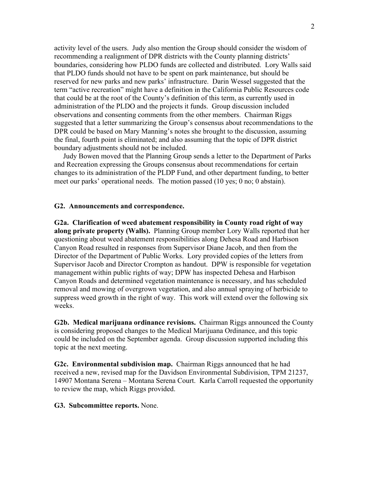activity level of the users. Judy also mention the Group should consider the wisdom of recommending a realignment of DPR districts with the County planning districts' boundaries, considering how PLDO funds are collected and distributed. Lory Walls said that PLDO funds should not have to be spent on park maintenance, but should be reserved for new parks and new parks' infrastructure. Darin Wessel suggested that the term "active recreation" might have a definition in the California Public Resources code that could be at the root of the County's definition of this term, as currently used in administration of the PLDO and the projects it funds. Group discussion included observations and consenting comments from the other members. Chairman Riggs suggested that a letter summarizing the Group's consensus about recommendations to the DPR could be based on Mary Manning's notes she brought to the discussion, assuming the final, fourth point is eliminated; and also assuming that the topic of DPR district boundary adjustments should not be included.

 Judy Bowen moved that the Planning Group sends a letter to the Department of Parks and Recreation expressing the Groups consensus about recommendations for certain changes to its administration of the PLDP Fund, and other department funding, to better meet our parks' operational needs. The motion passed (10 yes; 0 no; 0 abstain).

## **G2. Announcements and correspondence.**

**G2a. Clarification of weed abatement responsibility in County road right of way along private property (Walls).** Planning Group member Lory Walls reported that her questioning about weed abatement responsibilities along Dehesa Road and Harbison Canyon Road resulted in responses from Supervisor Diane Jacob, and then from the Director of the Department of Public Works. Lory provided copies of the letters from Supervisor Jacob and Director Crompton as handout. DPW is responsible for vegetation management within public rights of way; DPW has inspected Dehesa and Harbison Canyon Roads and determined vegetation maintenance is necessary, and has scheduled removal and mowing of overgrown vegetation, and also annual spraying of herbicide to suppress weed growth in the right of way. This work will extend over the following six weeks.

**G2b. Medical marijuana ordinance revisions.** Chairman Riggs announced the County is considering proposed changes to the Medical Marijuana Ordinance, and this topic could be included on the September agenda. Group discussion supported including this topic at the next meeting.

**G2c. Environmental subdivision map.** Chairman Riggs announced that he had received a new, revised map for the Davidson Environmental Subdivision, TPM 21237, 14907 Montana Serena – Montana Serena Court. Karla Carroll requested the opportunity to review the map, which Riggs provided.

## **G3. Subcommittee reports.** None.